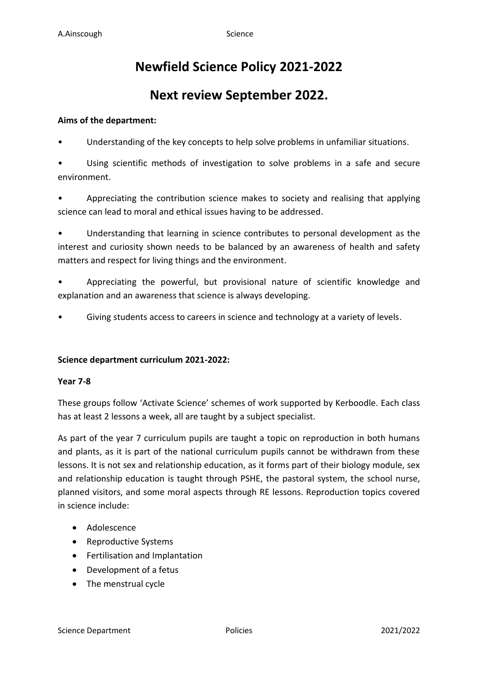# **Newfield Science Policy 2021-2022**

## **Next review September 2022.**

## **Aims of the department:**

Understanding of the key concepts to help solve problems in unfamiliar situations.

• Using scientific methods of investigation to solve problems in a safe and secure environment.

• Appreciating the contribution science makes to society and realising that applying science can lead to moral and ethical issues having to be addressed.

• Understanding that learning in science contributes to personal development as the interest and curiosity shown needs to be balanced by an awareness of health and safety matters and respect for living things and the environment.

• Appreciating the powerful, but provisional nature of scientific knowledge and explanation and an awareness that science is always developing.

Giving students access to careers in science and technology at a variety of levels.

#### **Science department curriculum 2021-2022:**

#### **Year 7-8**

These groups follow 'Activate Science' schemes of work supported by Kerboodle. Each class has at least 2 lessons a week, all are taught by a subject specialist.

As part of the year 7 curriculum pupils are taught a topic on reproduction in both humans and plants, as it is part of the national curriculum pupils cannot be withdrawn from these lessons. It is not sex and relationship education, as it forms part of their biology module, sex and relationship education is taught through PSHE, the pastoral system, the school nurse, planned visitors, and some moral aspects through RE lessons. Reproduction topics covered in science include:

- Adolescence
- Reproductive Systems
- Fertilisation and Implantation
- Development of a fetus
- The menstrual cycle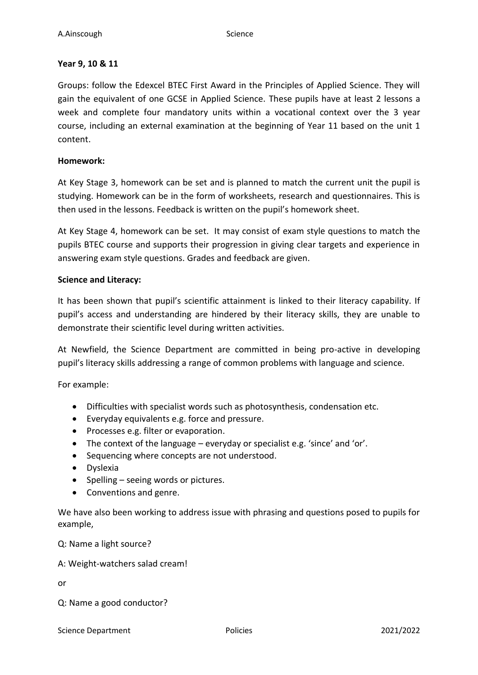## **Year 9, 10 & 11**

Groups: follow the Edexcel BTEC First Award in the Principles of Applied Science. They will gain the equivalent of one GCSE in Applied Science. These pupils have at least 2 lessons a week and complete four mandatory units within a vocational context over the 3 year course, including an external examination at the beginning of Year 11 based on the unit 1 content.

#### **Homework:**

At Key Stage 3, homework can be set and is planned to match the current unit the pupil is studying. Homework can be in the form of worksheets, research and questionnaires. This is then used in the lessons. Feedback is written on the pupil's homework sheet.

At Key Stage 4, homework can be set. It may consist of exam style questions to match the pupils BTEC course and supports their progression in giving clear targets and experience in answering exam style questions. Grades and feedback are given.

## **Science and Literacy:**

It has been shown that pupil's scientific attainment is linked to their literacy capability. If pupil's access and understanding are hindered by their literacy skills, they are unable to demonstrate their scientific level during written activities.

At Newfield, the Science Department are committed in being pro-active in developing pupil's literacy skills addressing a range of common problems with language and science.

For example:

- Difficulties with specialist words such as photosynthesis, condensation etc.
- Everyday equivalents e.g. force and pressure.
- Processes e.g. filter or evaporation.
- The context of the language everyday or specialist e.g. 'since' and 'or'.
- Sequencing where concepts are not understood.
- Dyslexia
- Spelling seeing words or pictures.
- Conventions and genre.

We have also been working to address issue with phrasing and questions posed to pupils for example,

Q: Name a light source?

#### A: Weight-watchers salad cream!

or

Q: Name a good conductor?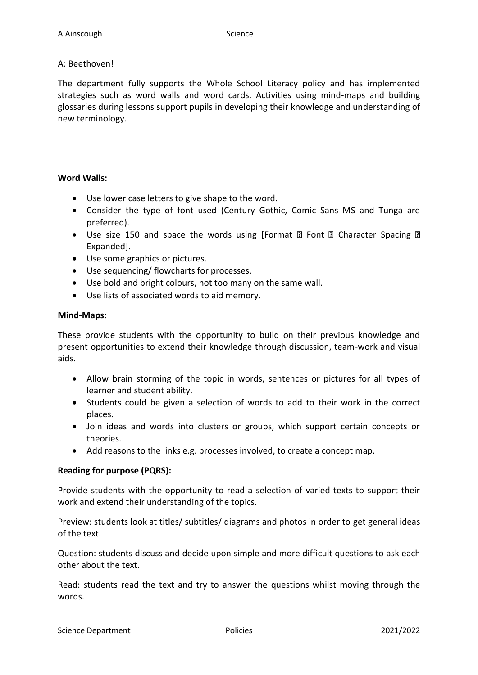## A: Beethoven!

The department fully supports the Whole School Literacy policy and has implemented strategies such as word walls and word cards. Activities using mind-maps and building glossaries during lessons support pupils in developing their knowledge and understanding of new terminology.

## **Word Walls:**

- Use lower case letters to give shape to the word.
- Consider the type of font used (Century Gothic, Comic Sans MS and Tunga are preferred).
- Use size 150 and space the words using [Format  $\mathbb D$  Font  $\mathbb D$  Character Spacing  $\mathbb D$ Expanded].
- Use some graphics or pictures.
- Use sequencing/ flowcharts for processes.
- Use bold and bright colours, not too many on the same wall.
- Use lists of associated words to aid memory.

## **Mind-Maps:**

These provide students with the opportunity to build on their previous knowledge and present opportunities to extend their knowledge through discussion, team-work and visual aids.

- Allow brain storming of the topic in words, sentences or pictures for all types of learner and student ability.
- Students could be given a selection of words to add to their work in the correct places.
- Join ideas and words into clusters or groups, which support certain concepts or theories.
- Add reasons to the links e.g. processes involved, to create a concept map.

## **Reading for purpose (PQRS):**

Provide students with the opportunity to read a selection of varied texts to support their work and extend their understanding of the topics.

Preview: students look at titles/ subtitles/ diagrams and photos in order to get general ideas of the text.

Question: students discuss and decide upon simple and more difficult questions to ask each other about the text.

Read: students read the text and try to answer the questions whilst moving through the words.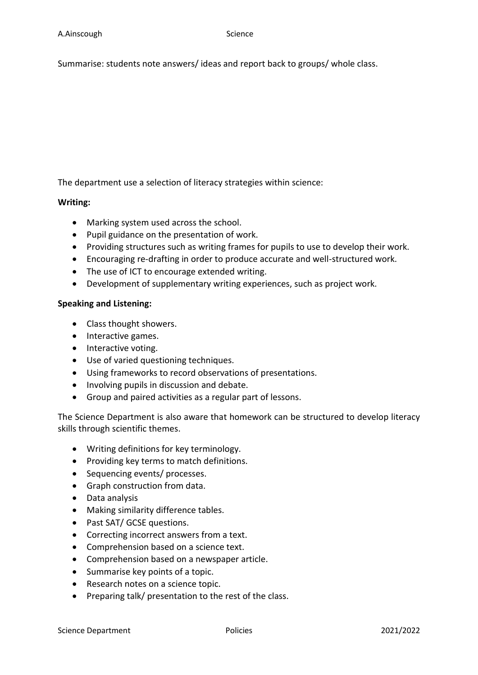Summarise: students note answers/ ideas and report back to groups/ whole class.

The department use a selection of literacy strategies within science:

#### **Writing:**

- Marking system used across the school.
- Pupil guidance on the presentation of work.
- Providing structures such as writing frames for pupils to use to develop their work.
- Encouraging re-drafting in order to produce accurate and well-structured work.
- The use of ICT to encourage extended writing.
- Development of supplementary writing experiences, such as project work.

#### **Speaking and Listening:**

- Class thought showers.
- Interactive games.
- Interactive voting.
- Use of varied questioning techniques.
- Using frameworks to record observations of presentations.
- Involving pupils in discussion and debate.
- Group and paired activities as a regular part of lessons.

The Science Department is also aware that homework can be structured to develop literacy skills through scientific themes.

- Writing definitions for key terminology.
- Providing key terms to match definitions.
- Sequencing events/ processes.
- Graph construction from data.
- Data analysis
- Making similarity difference tables.
- Past SAT/ GCSE questions.
- Correcting incorrect answers from a text.
- Comprehension based on a science text.
- Comprehension based on a newspaper article.
- Summarise key points of a topic.
- Research notes on a science topic.
- Preparing talk/ presentation to the rest of the class.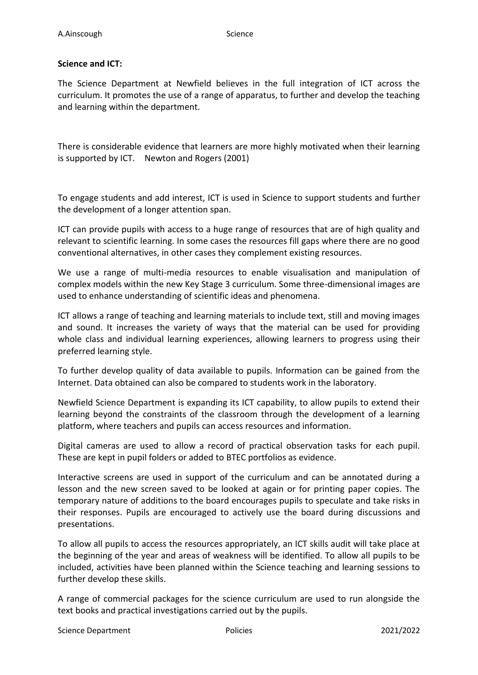## **Science and ICT:**

The Science Department at Newfield believes in the full integration of ICT across the curriculum. It promotes the use of a range of apparatus, to further and develop the teaching and learning within the department.

There is considerable evidence that learners are more highly motivated when their learning is supported by ICT. Newton and Rogers (2001)

To engage students and add interest, ICT is used in Science to support students and further the development of a longer attention span.

ICT can provide pupils with access to a huge range of resources that are of high quality and relevant to scientific learning. In some cases the resources fill gaps where there are no good conventional alternatives, in other cases they complement existing resources.

We use a range of multi-media resources to enable visualisation and manipulation of complex models within the new Key Stage 3 curriculum. Some three-dimensional images are used to enhance understanding of scientific ideas and phenomena.

ICT allows a range of teaching and learning materials to include text, still and moving images and sound. It increases the variety of ways that the material can be used for providing whole class and individual learning experiences, allowing learners to progress using their preferred learning style.

To further develop quality of data available to pupils. Information can be gained from the Internet. Data obtained can also be compared to students work in the laboratory.

Newfield Science Department is expanding its ICT capability, to allow pupils to extend their learning beyond the constraints of the classroom through the development of a learning platform, where teachers and pupils can access resources and information.

Digital cameras are used to allow a record of practical observation tasks for each pupil. These are kept in pupil folders or added to BTEC portfolios as evidence.

Interactive screens are used in support of the curriculum and can be annotated during a lesson and the new screen saved to be looked at again or for printing paper copies. The temporary nature of additions to the board encourages pupils to speculate and take risks in their responses. Pupils are encouraged to actively use the board during discussions and presentations.

To allow all pupils to access the resources appropriately, an ICT skills audit will take place at the beginning of the year and areas of weakness will be identified. To allow all pupils to be included, activities have been planned within the Science teaching and learning sessions to further develop these skills.

A range of commercial packages for the science curriculum are used to run alongside the text books and practical investigations carried out by the pupils.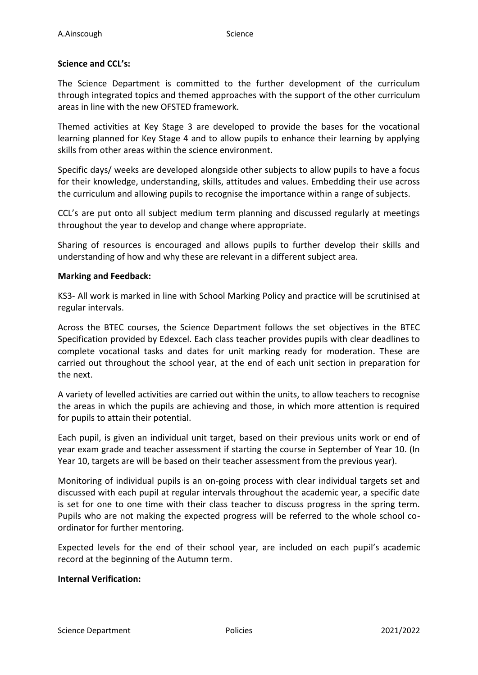#### **Science and CCL's:**

The Science Department is committed to the further development of the curriculum through integrated topics and themed approaches with the support of the other curriculum areas in line with the new OFSTED framework.

Themed activities at Key Stage 3 are developed to provide the bases for the vocational learning planned for Key Stage 4 and to allow pupils to enhance their learning by applying skills from other areas within the science environment.

Specific days/ weeks are developed alongside other subjects to allow pupils to have a focus for their knowledge, understanding, skills, attitudes and values. Embedding their use across the curriculum and allowing pupils to recognise the importance within a range of subjects.

CCL's are put onto all subject medium term planning and discussed regularly at meetings throughout the year to develop and change where appropriate.

Sharing of resources is encouraged and allows pupils to further develop their skills and understanding of how and why these are relevant in a different subject area.

#### **Marking and Feedback:**

KS3- All work is marked in line with School Marking Policy and practice will be scrutinised at regular intervals.

Across the BTEC courses, the Science Department follows the set objectives in the BTEC Specification provided by Edexcel. Each class teacher provides pupils with clear deadlines to complete vocational tasks and dates for unit marking ready for moderation. These are carried out throughout the school year, at the end of each unit section in preparation for the next.

A variety of levelled activities are carried out within the units, to allow teachers to recognise the areas in which the pupils are achieving and those, in which more attention is required for pupils to attain their potential.

Each pupil, is given an individual unit target, based on their previous units work or end of year exam grade and teacher assessment if starting the course in September of Year 10. (In Year 10, targets are will be based on their teacher assessment from the previous year).

Monitoring of individual pupils is an on-going process with clear individual targets set and discussed with each pupil at regular intervals throughout the academic year, a specific date is set for one to one time with their class teacher to discuss progress in the spring term. Pupils who are not making the expected progress will be referred to the whole school coordinator for further mentoring.

Expected levels for the end of their school year, are included on each pupil's academic record at the beginning of the Autumn term.

#### **Internal Verification:**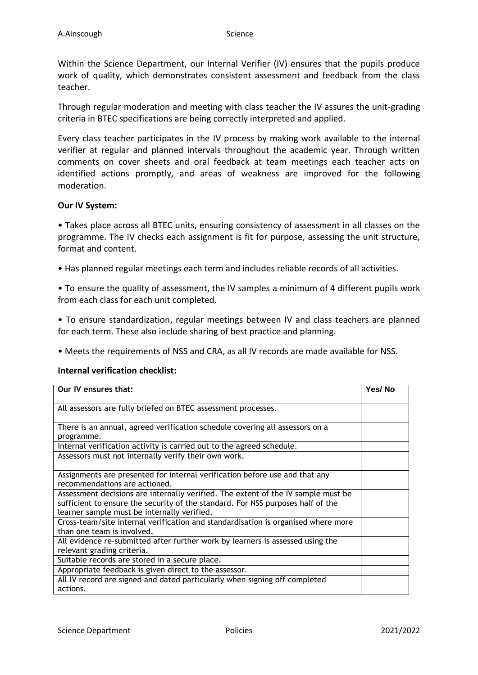Within the Science Department, our Internal Verifier (IV) ensures that the pupils produce work of quality, which demonstrates consistent assessment and feedback from the class teacher.

Through regular moderation and meeting with class teacher the IV assures the unit-grading criteria in BTEC specifications are being correctly interpreted and applied.

Every class teacher participates in the IV process by making work available to the internal verifier at regular and planned intervals throughout the academic year. Through written comments on cover sheets and oral feedback at team meetings each teacher acts on identified actions promptly, and areas of weakness are improved for the following moderation.

## **Our IV System:**

• Takes place across all BTEC units, ensuring consistency of assessment in all classes on the programme. The IV checks each assignment is fit for purpose, assessing the unit structure, format and content.

• Has planned regular meetings each term and includes reliable records of all activities.

• To ensure the quality of assessment, the IV samples a minimum of 4 different pupils work from each class for each unit completed.

• To ensure standardization, regular meetings between IV and class teachers are planned for each term. These also include sharing of best practice and planning.

• Meets the requirements of NSS and CRA, as all IV records are made available for NSS.

#### **Internal verification checklist:**

| <b>Our IV ensures that:</b>                                                       | Yes/No |
|-----------------------------------------------------------------------------------|--------|
|                                                                                   |        |
| All assessors are fully briefed on BTEC assessment processes.                     |        |
| There is an annual, agreed verification schedule covering all assessors on a      |        |
| programme.                                                                        |        |
| Internal verification activity is carried out to the agreed schedule.             |        |
| Assessors must not internally verify their own work.                              |        |
|                                                                                   |        |
| Assignments are presented for internal verification before use and that any       |        |
| recommendations are actioned.                                                     |        |
| Assessment decisions are internally verified. The extent of the IV sample must be |        |
| sufficient to ensure the security of the standard. For NSS purposes half of the   |        |
| learner sample must be internally verified.                                       |        |
| Cross-team/site internal verification and standardisation is organised where more |        |
| than one team is involved.                                                        |        |
| All evidence re-submitted after further work by learners is assessed using the    |        |
| relevant grading criteria.                                                        |        |
| Suitable records are stored in a secure place.                                    |        |
| Appropriate feedback is given direct to the assessor.                             |        |
| All IV record are signed and dated particularly when signing off completed        |        |
| actions.                                                                          |        |